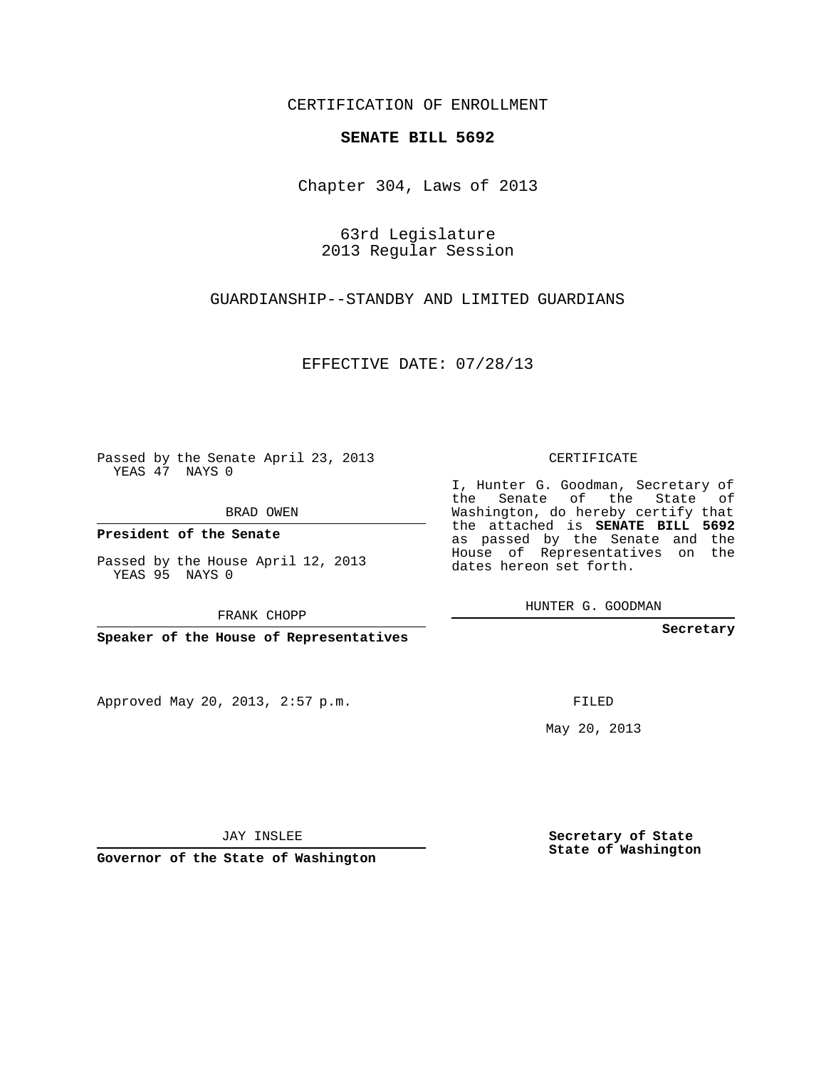## CERTIFICATION OF ENROLLMENT

## **SENATE BILL 5692**

Chapter 304, Laws of 2013

63rd Legislature 2013 Regular Session

GUARDIANSHIP--STANDBY AND LIMITED GUARDIANS

EFFECTIVE DATE: 07/28/13

Passed by the Senate April 23, 2013 YEAS 47 NAYS 0

BRAD OWEN

**President of the Senate**

Passed by the House April 12, 2013 YEAS 95 NAYS 0

FRANK CHOPP

**Speaker of the House of Representatives**

Approved May 20, 2013, 2:57 p.m.

CERTIFICATE

I, Hunter G. Goodman, Secretary of the Senate of the State of Washington, do hereby certify that the attached is **SENATE BILL 5692** as passed by the Senate and the House of Representatives on the dates hereon set forth.

HUNTER G. GOODMAN

**Secretary**

FILED

May 20, 2013

**Secretary of State State of Washington**

JAY INSLEE

**Governor of the State of Washington**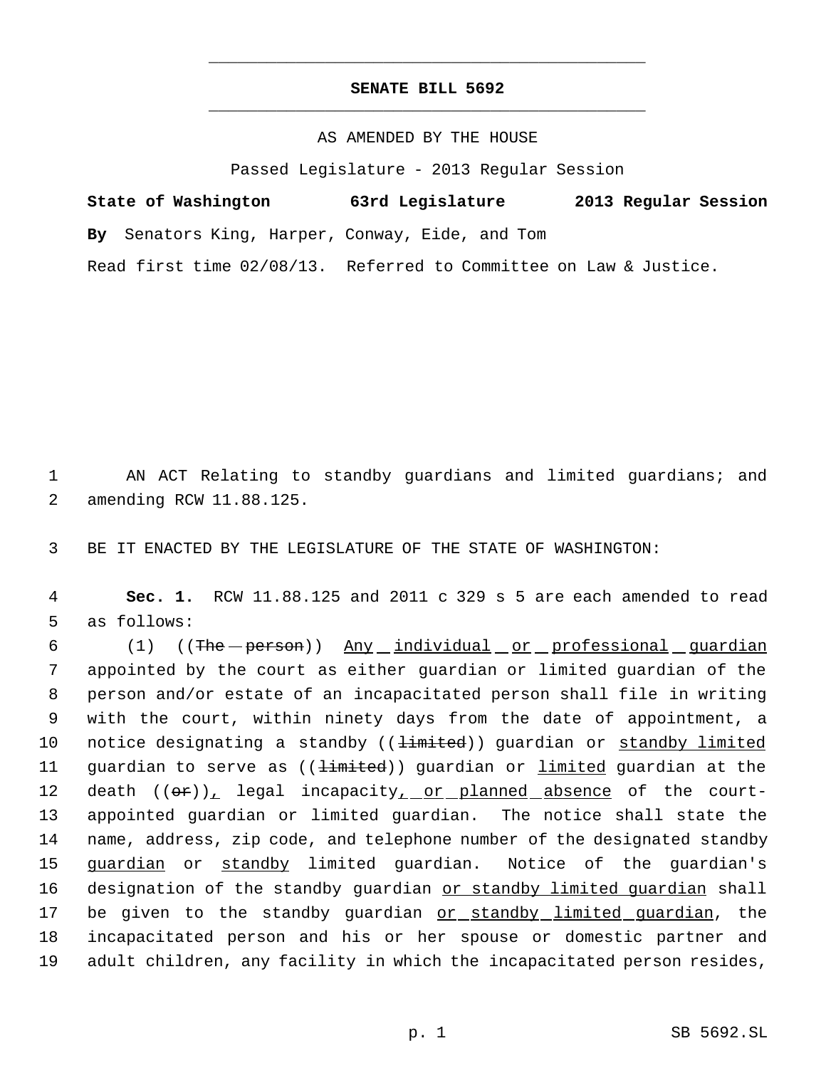## **SENATE BILL 5692** \_\_\_\_\_\_\_\_\_\_\_\_\_\_\_\_\_\_\_\_\_\_\_\_\_\_\_\_\_\_\_\_\_\_\_\_\_\_\_\_\_\_\_\_\_

\_\_\_\_\_\_\_\_\_\_\_\_\_\_\_\_\_\_\_\_\_\_\_\_\_\_\_\_\_\_\_\_\_\_\_\_\_\_\_\_\_\_\_\_\_

## AS AMENDED BY THE HOUSE

Passed Legislature - 2013 Regular Session

| State of Washington                             | 63rd Legislature                                                  | 2013 Regular Session |  |
|-------------------------------------------------|-------------------------------------------------------------------|----------------------|--|
| By Senators King, Harper, Conway, Eide, and Tom |                                                                   |                      |  |
|                                                 | Read first time 02/08/13. Referred to Committee on Law & Justice. |                      |  |

 1 AN ACT Relating to standby guardians and limited guardians; and 2 amending RCW 11.88.125.

3 BE IT ENACTED BY THE LEGISLATURE OF THE STATE OF WASHINGTON:

 4 **Sec. 1.** RCW 11.88.125 and 2011 c 329 s 5 are each amended to read 5 as follows:

6 (1) ((The -person)) Any individual or professional guardian 7 appointed by the court as either guardian or limited guardian of the 8 person and/or estate of an incapacitated person shall file in writing 9 with the court, within ninety days from the date of appointment, a 10 notice designating a standby ((<del>limited</del>)) guardian or standby limited 11 guardian to serve as ((<del>limited</del>)) guardian or *limited* guardian at the 12 death  $((\theta \cdot \mathbf{r}))_L$  legal incapacity<sub> $L$ </sub> or planned absence of the court-13 appointed guardian or limited guardian. The notice shall state the 14 name, address, zip code, and telephone number of the designated standby 15 guardian or standby limited guardian. Notice of the guardian's 16 designation of the standby guardian or standby limited guardian shall 17 be given to the standby guardian or standby limited guardian, the 18 incapacitated person and his or her spouse or domestic partner and 19 adult children, any facility in which the incapacitated person resides,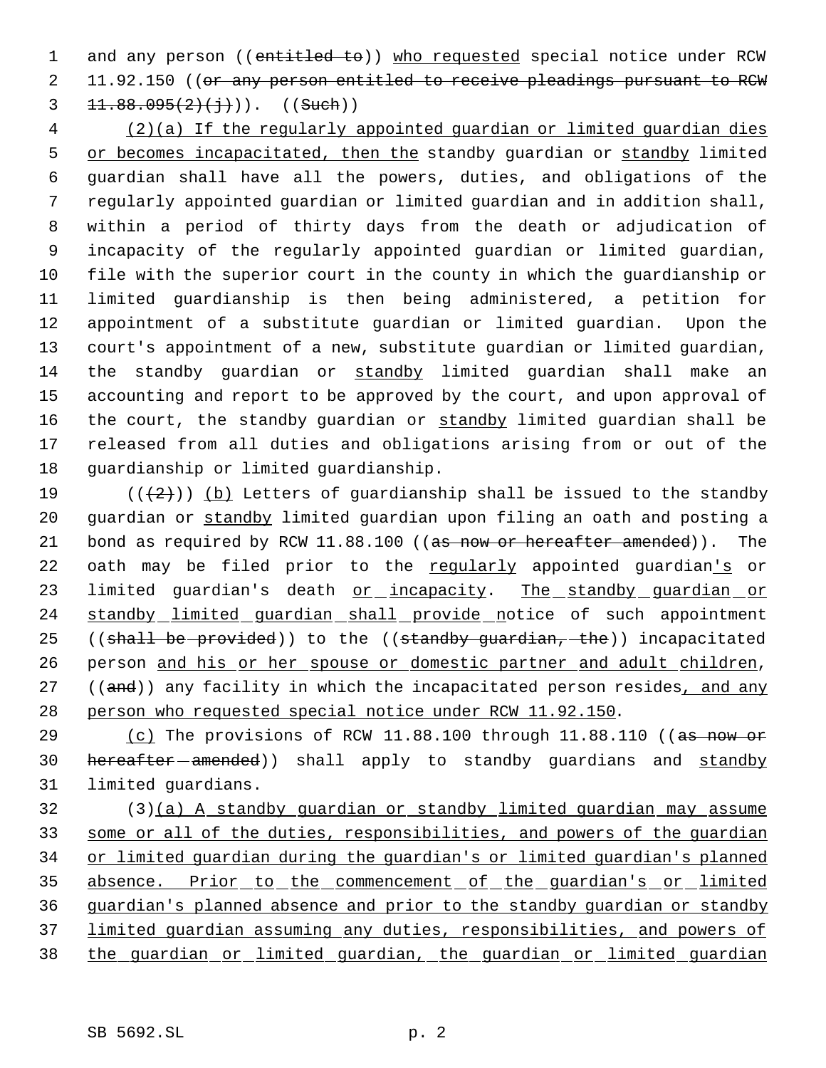1 and any person ((entitled to)) who requested special notice under RCW 2 11.92.150 ((or any person entitled to receive pleadings pursuant to RCW 3  $11.88.095(2)(\frac{1}{1})$ ). ((Such))

 (2)(a) If the regularly appointed guardian or limited guardian dies 5 or becomes incapacitated, then the standby guardian or standby limited guardian shall have all the powers, duties, and obligations of the regularly appointed guardian or limited guardian and in addition shall, within a period of thirty days from the death or adjudication of incapacity of the regularly appointed guardian or limited guardian, file with the superior court in the county in which the guardianship or limited guardianship is then being administered, a petition for appointment of a substitute guardian or limited guardian. Upon the court's appointment of a new, substitute guardian or limited guardian, the standby guardian or standby limited guardian shall make an accounting and report to be approved by the court, and upon approval of 16 the court, the standby guardian or standby limited guardian shall be released from all duties and obligations arising from or out of the guardianship or limited guardianship.

19 ( $(\frac{1}{2})$ ) (b) Letters of guardianship shall be issued to the standby 20 guardian or standby limited guardian upon filing an oath and posting a 21 bond as required by RCW 11.88.100 ((as now or hereafter amended)). The 22 oath may be filed prior to the regularly appointed guardian's or 23 limited guardian's death or incapacity. The standby guardian or 24 standby limited guardian shall provide notice of such appointment 25 ((shall be provided)) to the ((standby guardian, the)) incapacitated 26 person and his or her spouse or domestic partner and adult children, 27 ((and)) any facility in which the incapacitated person resides, and any 28 person who requested special notice under RCW 11.92.150.

29 (c) The provisions of RCW 11.88.100 through 11.88.110 ((as now or 30 hereafter - amended) shall apply to standby guardians and standby 31 limited guardians.

 (3)(a) A standby guardian or standby limited guardian may assume some or all of the duties, responsibilities, and powers of the guardian or limited guardian during the guardian's or limited guardian's planned 35 absence. Prior to the commencement of the guardian's or limited guardian's planned absence and prior to the standby guardian or standby limited guardian assuming any duties, responsibilities, and powers of the guardian or limited guardian, the guardian or limited guardian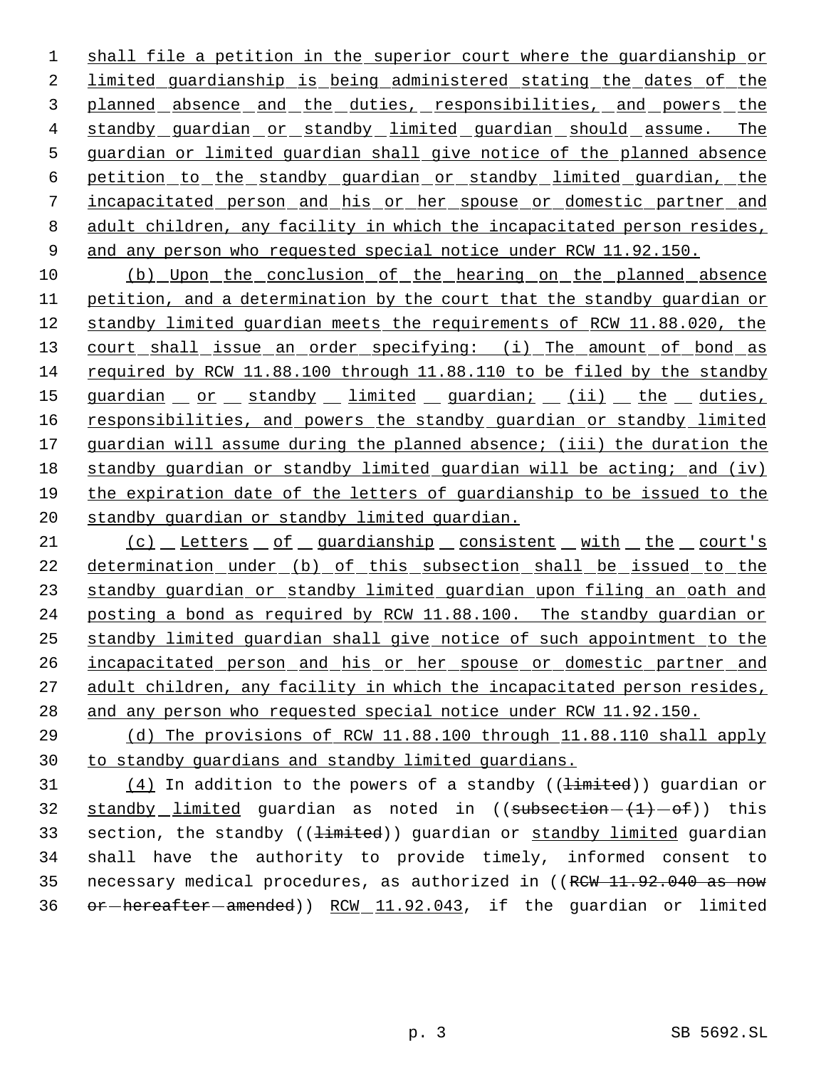1 shall file a petition in the superior court where the guardianship or 2 limited guardianship is being administered stating the dates of the 3 planned absence and the duties, responsibilities, and powers the 4 standby guardian or standby limited guardian should assume. The 5 guardian or limited guardian shall give notice of the planned absence 6 petition to the standby guardian or standby limited guardian, the 7 incapacitated person and his or her spouse or domestic partner and 8 adult children, any facility in which the incapacitated person resides, 9 and any person who requested special notice under RCW 11.92.150.

 (b) Upon the conclusion of the hearing on the planned absence petition, and a determination by the court that the standby guardian or standby limited guardian meets the requirements of RCW 11.88.020, the 13 court shall issue an order specifying: (i) The amount of bond as required by RCW 11.88.100 through 11.88.110 to be filed by the standby 15 guardian or standby limited guardian; (ii) the duties, 16 responsibilities, and powers the standby guardian or standby limited 17 guardian will assume during the planned absence; (iii) the duration the standby guardian or standby limited guardian will be acting; and (iv) the expiration date of the letters of guardianship to be issued to the standby guardian or standby limited guardian.

21 (c) Letters of guardianship consistent with the court's determination under (b) of this subsection shall be issued to the standby guardian or standby limited guardian upon filing an oath and posting a bond as required by RCW 11.88.100. The standby guardian or standby limited guardian shall give notice of such appointment to the 26 incapacitated person and his or her spouse or domestic partner and adult children, any facility in which the incapacitated person resides, 28 and any person who requested special notice under RCW 11.92.150.

29 (d) The provisions of RCW 11.88.100 through 11.88.110 shall apply 30 to standby guardians and standby limited guardians.

31  $(4)$  In addition to the powers of a standby (( $\pm imited$ )) guardian or 32 standby limited quardian as noted in  $((\text{subsection} - \{1\} - \text{of}))$  this 33 section, the standby ((<del>limited</del>)) guardian or standby limited guardian 34 shall have the authority to provide timely, informed consent to 35 necessary medical procedures, as authorized in ((RCW 11.92.040 as now 36 or hereafter amended)) RCW 11.92.043, if the guardian or limited